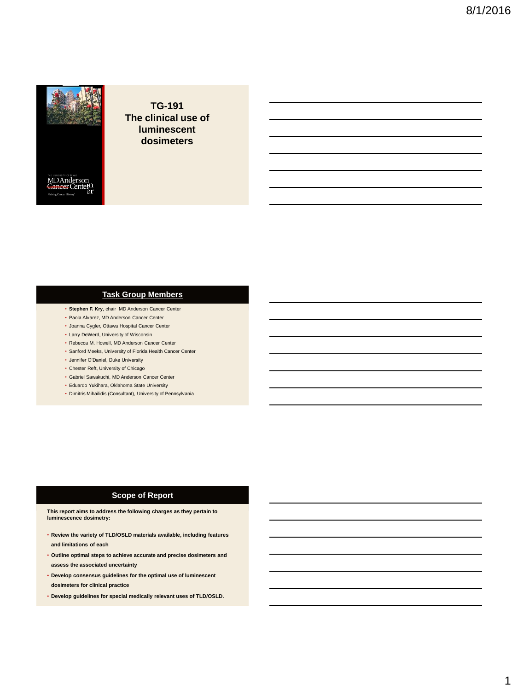

MD Anderson<br>Cancer Center

**TG-191 The clinical use of luminescent dosimeters**

#### **Task Group Members**

- **Stephen F. Kry**, chair MD Anderson Cancer Center
- Paola Alvarez, MD Anderson Cancer Center
- Joanna Cygler, Ottawa Hospital Cancer Center
- Larry DeWerd, University of Wisconsin
- Rebecca M. Howell, MD Anderson Cancer Center
- Sanford Meeks, University of Florida Health Cancer Center
- Jennifer O'Daniel, Duke University
- Chester Reft, University of Chicago
- Gabriel Sawakuchi, MD Anderson Cancer Center
- Eduardo Yukihara, Oklahoma State University
- Dimitris Mihailidis (Consultant), University of Pennsylvania

#### **Scope of Report**

**This report aims to address the following charges as they pertain to luminescence dosimetry:**

- **Review the variety of TLD/OSLD materials available, including features and limitations of each**
- **Outline optimal steps to achieve accurate and precise dosimeters and assess the associated uncertainty**
- **Develop consensus guidelines for the optimal use of luminescent dosimeters for clinical practice**
- **Develop guidelines for special medically relevant uses of TLD/OSLD.**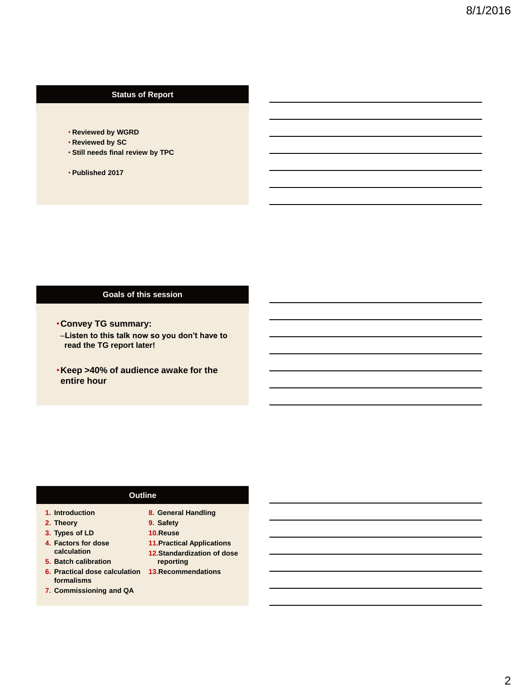## **Status of Report**

- **Reviewed by WGRD**
- **Reviewed by SC**
- **Still needs final review by TPC**
- **Published 2017**

#### **Goals of this session**

- •**Convey TG summary:** –**Listen to this talk now so you don't have to read the TG report later!**
- •**Keep >40% of audience awake for the entire hour**

#### **Outline**

- **1. Introduction**
- **2. Theory**
- **3. Types of LD 4. Factors for dose calculation**
- **5. Batch calibration**
- **6. Practical dose calculation 13.Recommendationsformalisms**
- **7. Commissioning and QA**
- **8. General Handling**
- **9. Safety**
- **10.Reuse**
- **11.Practical Applications**
- **12.Standardization of dose reporting**
-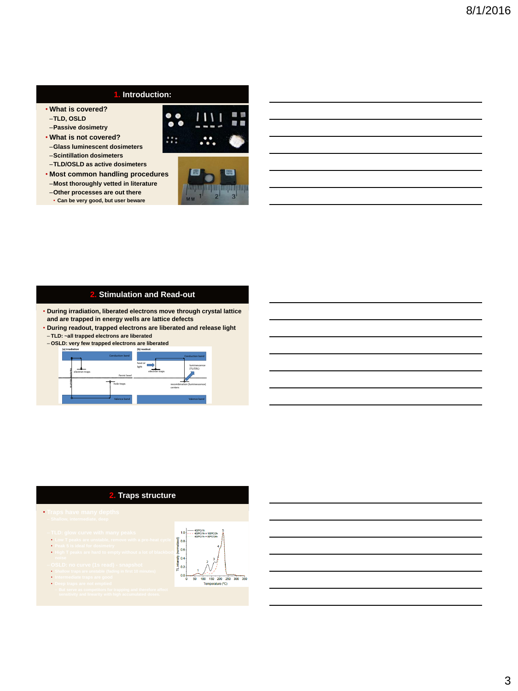## **1. Introduction:**

- **What is covered?**
- –**TLD, OSLD**
- –**Passive dosimetry**
- **What is not covered?**
- –**Glass luminescent dosimeters** –**Scintillation dosimeters**
- –**TLD/OSLD as active dosimeters**
- **Most common handling procedures** –**Most thoroughly vetted in literature**
- –**Other processes are out there**
- **Can be very good, but user beware**





## **2. Stimulation and Read-out**

- **During irradiation, liberated electrons move through crystal lattice and are trapped in energy wells are lattice defects**
- **During readout, trapped electrons are liberated and release light**
- **TLD: ~all trapped electrons are liberated**





#### **2. Traps structure**

- **Traps have many depths**
	-
	- **Low T peaks are unstable, remove with a pre-heat cycle**
	- **Peak 5 is ideal for dosimetry**
	- **High T peaks are hard to empty without a lot of blackbody**
	- **Shallow traps are unstable (fading in first 10 minutes)**
	- **Intermediate traps are good**

• **Deep traps are not emptied**

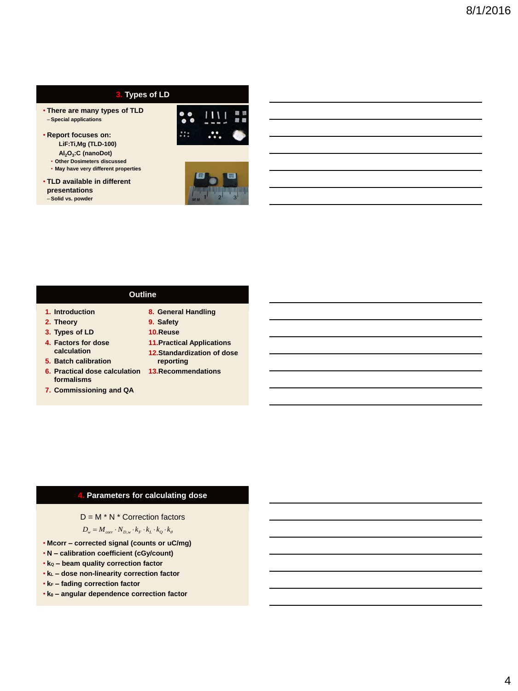## **3. Types of LD**

- **There are many types of TLD** – **Special applications**
- **Report focuses on: LiF:Ti,Mg (TLD-100)**
	- **Al2O<sup>3</sup> :C (nanoDot)**
	- **Other Dosimeters discussed**
	- **May have very different properties**
- **TLD available in different presentations** – **Solid vs. powder**





#### **Outline**

- **1. Introduction**
- **2. Theory**
- **3. Types of LD**
- **4. Factors for dose**
- **calculation**
- **5. Batch calibration**
- **formalisms**
- **7. Commissioning and QA**
- **8. General Handling**
- **9. Safety**
- **10.Reuse**
- **11.Practical Applications**
- **12.Standardization of dose reporting**
- **6. Practical dose calculation 13.Recommendations**

#### **4. Parameters for calculating dose**

 $D = M * N *$  Correction factors

 $D_w = M_{corr} \cdot N_{D,w} \cdot k_F \cdot k_L \cdot k_Q \cdot k_\theta$ 

- **Mcorr – corrected signal (counts or uC/mg)**
- **N – calibration coefficient (cGy/count)**
- **k<sup>Q</sup> – beam quality correction factor**
- **k<sup>L</sup> – dose non-linearity correction factor**
- **k<sup>F</sup> – fading correction factor**
- **k – angular dependence correction factor**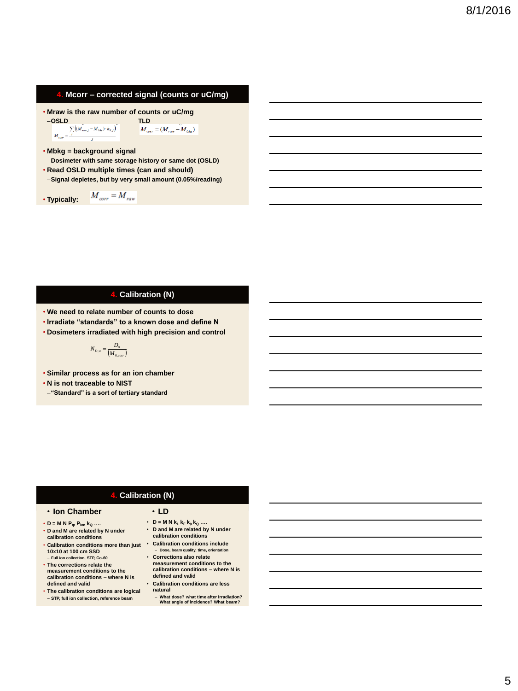#### **4. Mcorr – corrected signal (counts or uC/mg)**

• **Maraw is the raw number of counts or uC/mg**  
\n
$$
-OSLD
$$
\n
$$
-OSLD
$$
\n
$$
-OSLD
$$
\n
$$
M_{cor} = \frac{\sum_{j} ((M_{row,j} - M_{sky}) \cdot k_{sj})}{M_{cor}} \times M_{cor} = (M_{raw} - M_{bkg})
$$

 $\begin{array}{ccc} -\textbf{OSLD} & & \textbf{TLD} \\ \sum ( (M_{\textit{row},j}-M_{\textit{bkg}})\cdot k_{\textit{d,j}})^{\top} & & M_{\textit{corr}} = (M_{\textit{raw}}-\widetilde{M}_{\textit{bkg}}) \end{array}$ 

• **Mbkg = background signal**

- –**Dosimeter with same storage history or same dot (OSLD)**
- **Read OSLD multiple times (can and should)**

 $M_{corr} = M_{raw}$ 

–**Signal depletes, but by very small amount (0.05%/reading)**

• **Typically:** 

#### **4. Calibration (N)**

- **We need to relate number of counts to dose**
- **Irradiate "standards" to a known dose and define N**
- **Dosimeters irradiated with high precision and control**

$$
N_{D,w} = \frac{D_0}{\left(M_{0,corr}\right)}
$$

• **Similar process as for an ion chamber**

- **N is not traceable to NIST**
- –**"Standard" is a sort of tertiary standard**

## **4. Calibration (N)**

#### • **Ion Chamber**

- $\cdot$  **D** = **M N**  $P_{tp}$   $P_{ion}$  **k**<sub>Q</sub> ...
- **D and M are related by N under calibration conditions**
- **Calibration conditions more than just Calibration conditions include 10x10 at 100 cm SSD** – **Full ion collection, STP, Co-60**
- **The corrections relate the measurement conditions to the calibration conditions – where N is defined and valid**
- **The calibration conditions are logical**
- **STP, full ion collection, reference beam**

## • **LD**

- **D** = **M N k**<sub>L</sub> **k**<sub>F</sub> **k**<sub>θ</sub>**<sup>** $k$ **</sup><sub>Q</sub> ….** • **D and M are related by N under calibration conditions**
- **Dose, beam quality, time, orientation** • **Corrections also relate measurement conditions to the**
- **calibration conditions – where N is defined and valid** • **Calibration conditions are less**
- **natural**
	- **What dose? what time after irradiation? What angle of incidence? What beam?**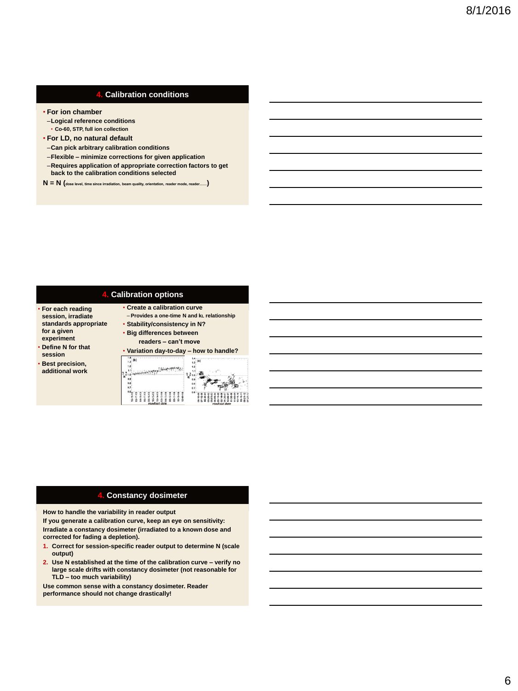#### **4. Calibration conditions**

- **For ion chamber**
- –**Logical reference conditions** • **Co-60, STP, full ion collection**
- **For LD, no natural default**
- –**Can pick arbitrary calibration conditions**
- –**Flexible – minimize corrections for given application**
- –**Requires application of appropriate correction factors to get back to the calibration conditions selected**
- **N = N (dose level, time since irradiation, beam quality, orientation, reader mode, reader……)**

#### **4. Calibration options**

• **Create a calibration curve**

- **For each reading session, irradiate standards appropriate for a given experiment**
- **Define N for that**
- **session** • **Best precision,**
- **additional work**



#### **4. Constancy dosimeter**

**How to handle the variability in reader output**

**If you generate a calibration curve, keep an eye on sensitivity: Irradiate a constancy dosimeter (irradiated to a known dose and corrected for fading a depletion).**

- **1. Correct for session-specific reader output to determine N (scale output)**
- **2. Use N established at the time of the calibration curve – verify no large scale drifts with constancy dosimeter (not reasonable for TLD – too much variability)**

**Use common sense with a constancy dosimeter. Reader performance should not change drastically!**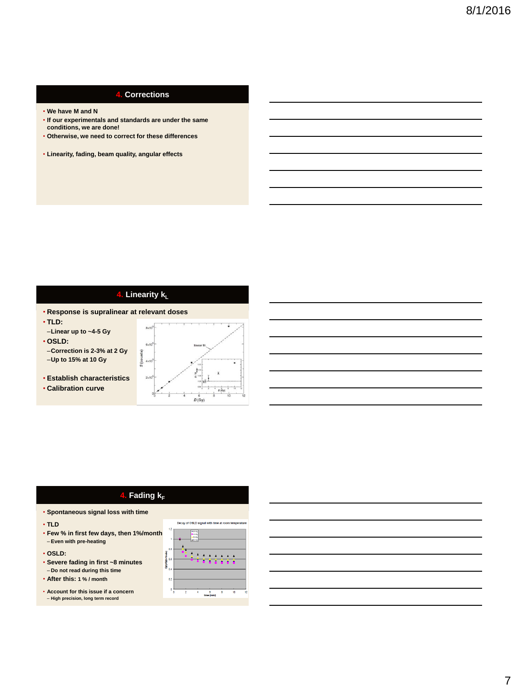## **4. Corrections**

- **We have M and N**
- **If our experimentals and standards are under the same conditions, we are done!**
- **Otherwise, we need to correct for these differences**
- **Linearity, fading, beam quality, angular effects**

## **4. Linearity k<sup>L</sup>**

S (cou

- **Response is supralinear at relevant doses**
- **TLD:**
- –**Linear up to ~4-5 Gy**
- **OSLD:**
- –**Correction is 2-3% at 2 Gy**
- –**Up to 15% at 10 Gy**
- **Establish characteristics**
- **Calibration curve**



## **4. Fading**  $k_F$

- **Spontaneous signal loss with time**
- **TLD**
- **Few % in first few days, then 1%/month** – **Even with pre-heating**
- **OSLD:**
- **Severe fading in first ~8 minutes** – **Do not read during this time**
- **After this: 1 % / month**
- **Account for this issue if a concern** – **High precision, long term record**

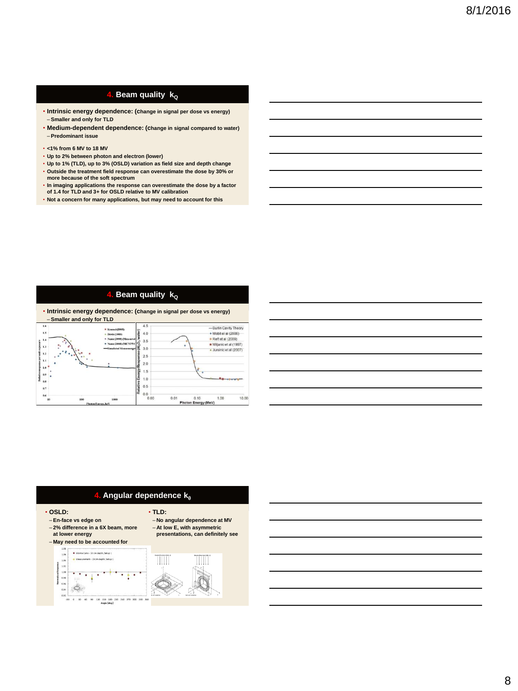## **4. Beam quality k**<sub>Q</sub>

- **Intrinsic energy dependence: (change in signal per dose vs energy)** – **Smaller and only for TLD**
- **Medium-dependent dependence: (change in signal compared to water)** – **Predominant issue**
- **<1% from 6 MV to 18 MV**
- **Up to 2% between photon and electron (lower)**
- **Up to 1% (TLD), up to 3% (OSLD) variation as field size and depth change** • **Outside the treatment field response can overestimate the dose by 30% or more because of the soft spectrum**
- **In imaging applications the response can overestimate the dose by a factor of 1.4 for TLD and 3+ for OSLD relative to MV calibration**
- **Not a concern for many applications, but may need to account for this**

## **4. Beam quality**  $\overline{k_0}$

• **Intrinsic energy dependence: (change in signal per dose vs energy)** – **Smaller and only for TLD**

| 1.6<br>1.5<br>1.4<br>1.3<br>1.2<br>1.1<br>6<br>1.0<br>0.9<br>곭<br>0.8 | <b># Konnai (2005)</b><br>$\triangle$ Davis (2003)<br>* Nunn (2008) (Measured)<br>* Nunn (2008) (MCNPS C<br>-Simulated Monoenerget | 4.5<br>ter<br>4.0<br>٩.<br>3.5<br>ö<br>₹<br>3.0<br>2.5<br>2.0<br>æ<br>즓<br>1.5<br>Relative Er<br>1.0<br>0.5 |      |                                | -Burlin Cavity Theory<br>+ Mobit el al (2006)<br>• Reft et al (2009)<br>Miljanic et al (1997)<br>4 Jursinic et al (2007) |       |
|-----------------------------------------------------------------------|------------------------------------------------------------------------------------------------------------------------------------|-------------------------------------------------------------------------------------------------------------|------|--------------------------------|--------------------------------------------------------------------------------------------------------------------------|-------|
| 0.7<br>0.6<br>10<br>100                                               | 1000                                                                                                                               | 0.0<br>0.00                                                                                                 | 0.01 | 0.10<br>Blacken France (14-10) | 1.00                                                                                                                     | 10.00 |

|                                     | <u> 1989 - Johann Barn, fransk politik amerikansk politik (</u> |  |  |
|-------------------------------------|-----------------------------------------------------------------|--|--|
| and the contract of the contract of |                                                                 |  |  |
|                                     |                                                                 |  |  |
|                                     |                                                                 |  |  |
|                                     |                                                                 |  |  |
|                                     |                                                                 |  |  |



- **OSLD:**
- **En-face vs edge on** – **2% difference in a 6X beam, more**
- **at lower energy**





– **At low E, with asymmetric presentations, can definitely see**

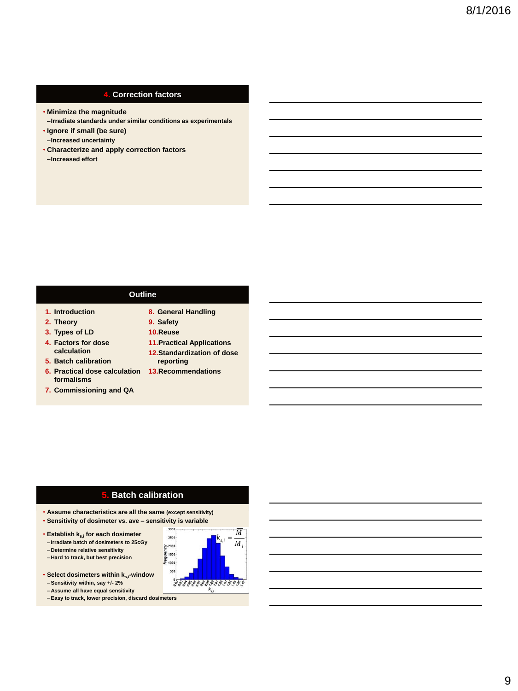#### **4. Correction factors**

- **Minimize the magnitude**
- –**Irradiate standards under similar conditions as experimentals**
- **Ignore if small (be sure)**
- –**Increased uncertainty**
- **Characterize and apply correction factors** –**Increased effort**

#### **Outline**

- **1. Introduction**
- **2. Theory**
- **3. Types of LD**
- **4. Factors for dose calculation**
- **5. Batch calibration**
- **6. Practical dose calculation 13.Recommendations formalisms**
- **7. Commissioning and QA**
- **8. General Handling**
- **9. Safety**
- **10.Reuse**
- **11.Practical Applications**
- **12.Standardization of dose reporting**
- 

## **5. Batch calibration**

- **Assume characteristics are all the same (except sensitivity)**
- **Sensitivity of dosimeter vs. ave – sensitivity is variable**
- **Establish ks,i for each dosimeter** – **Irradiate batch of dosimeters to 25cGy**
- **Determine relative sensitivity**
- **Hard to track, but best precision**
- **Select dosimeters within ks,i-window**
- **Sensitivity within, say +/- 2%**
- **Assume all have equal sensitivity**
- **Easy to track, lower precision, discard dosimeters**

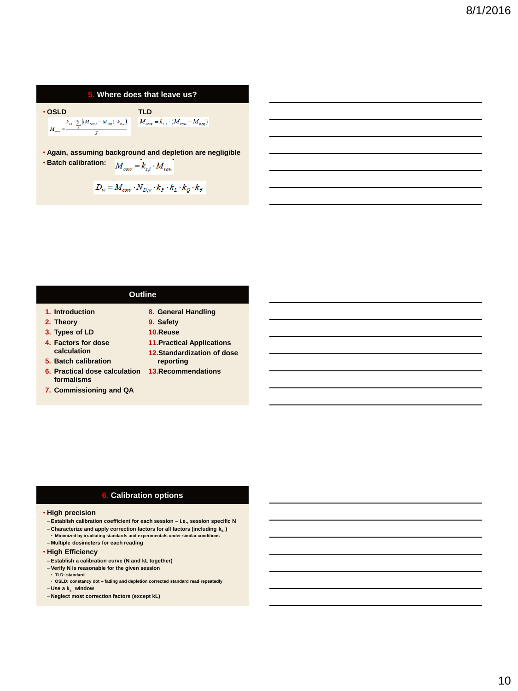#### **5. Where does that leave us?**

$$
\begin{array}{ccc} \bullet\textbf{OSLD} & & \textbf{TLD} \\ \textbf{N}_{\textit{corr}} = & \sum\limits_{j} (M_{\textit{raw},j} - M_{\textit{bkg}}) \cdot k_{\textit{d,j}}) & M_{\textit{corr}} = k_{\textit{c,j}} \cdot (M_{\textit{raw}} - M_{\textit{bkg}}) \\ \end{array}
$$

• **Again, assuming background and depletion are negligible**

• **Batch calibration:**  $M_{corr} = k_{s,i} \cdot M_{raw}$ 

$$
D_w = M_{corr} \cdot N_{D,w} \cdot k_F \cdot k_L \cdot k_Q \cdot k_\theta
$$

#### **Outline**

- **1. Introduction**
- **2. Theory**
- **3. Types of LD**
- **4. Factors for dose calculation**
- **5. Batch calibration**
- **6. Practical dose calculation 13.Recommendations formalisms**
- **7. Commissioning and QA**
- **8. General Handling 9. Safety**
- **10.Reuse**
- **11.Practical Applications**
- **12.Standardization of dose reporting**
- 

### **6. Calibration options**

#### • **High precision**

- **Establish calibration coefficient for each session – i.e., session specific N**
- **Characterize and apply correction factors for all factors (including ks,i)** • **Minimized by irradiating standards and experimentals under similar conditions**
- **Multiple dosimeters for each reading**

#### • **High Efficiency**

- **Establish a calibration curve (N and kL together)**
- **Verify N is reasonable for the given session**
- **TLD: standard** • **OSLD: constancy dot – fading and depletion corrected standard read repeatedly** – **Use a ks,i window**
- **Neglect most correction factors (except kL)**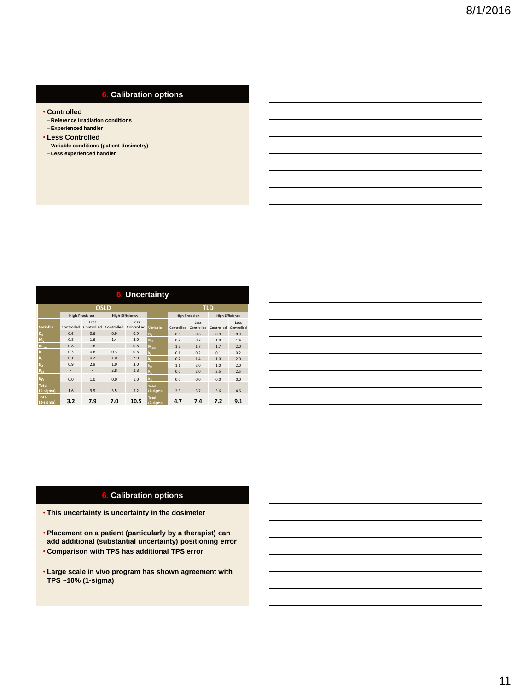## **6. Calibration options**

- **Controlled**
- **Reference irradiation conditions**
- **Experienced handler**
- **Less Controlled** – **Variable conditions (patient dosimetry)**
- **Less experienced handler**

| 6. Uncertainty            |                       |                          |                        |                    |                             |                       |                    |                        |                    |
|---------------------------|-----------------------|--------------------------|------------------------|--------------------|-----------------------------|-----------------------|--------------------|------------------------|--------------------|
|                           | <b>OSLD</b>           |                          |                        |                    |                             | <b>TLD</b>            |                    |                        |                    |
|                           | <b>High Precision</b> |                          | <b>High Efficiency</b> |                    |                             | <b>High Precision</b> |                    | <b>High Efficiency</b> |                    |
| Variable                  | Controlled            | Less<br>Controlled       | Controlled             | Less<br>Controlled | Variable                    | Controlled            | Less<br>Controlled | Controlled             | Less<br>Controlled |
| $D_{\alpha}$              | 0.6                   | 0.6                      | 0.9                    | 0.9                | $D_{0}$                     | 0.6                   | 0.6                | 0.9                    | 0.9                |
| $M_0$                     | 0.8                   | 1.6                      | 1.4                    | 2.0                | $M_0$                       | 0.7                   | 0.7                | 1.0                    | 1.4                |
| $M_{\text{max}}$          | 0.8                   | 1.6                      | $\sim$                 | 0.8                | $M_{\text{raw}}$            | 1.7                   | 1.7                | 1.7                    | 2.0                |
| k,                        | 0.3                   | 0.6                      | 0.3                    | 0.6                | k,                          | 0.1                   | 0.2                | 0.1                    | 0.2                |
| $k_{\rm r}$               | 0.1                   | 0.2                      | 1.0                    | 2.0                | $\mathbf{k}_i$              | 0.7                   | 1.4                | 1.0                    | 2.0                |
| $k_0$                     | 0.9                   | 2.9                      | 1.0                    | 3.0                | $k_0$                       | 1.1                   | 2.0                | 1.0                    | 2.0                |
| $K_{c1}$                  | $\overline{a}$        | $\overline{\phantom{a}}$ | 2.8                    | 2.8                | $K_{c1}$                    | 0.0                   | 2.0                | 2.5                    | 2.5                |
| $K_{\mathbf{A}}$          | 0.0                   | 1.0                      | 0.0                    | 1.0                | $K_{\mathbf{A}}$            | 0.0                   | 0.0                | 0.0                    | 0.0                |
| <b>Total</b><br>(1-sigma) | 1.6                   | 3.9                      | 3.5                    | 5.2                | <b>Total</b><br>$(1-sigma)$ | 2.3                   | 3.7                | 3.6                    | 4.6                |
| <b>Total</b><br>(2-sigma) | 3.2                   | 7.9                      | 7.0                    | 10.5               | <b>Total</b><br>(2-sigma)   | 4.7                   | 7.4                | 7.2                    | 9.1                |

## **6. Calibration options**

- **This uncertainty is uncertainty in the dosimeter**
- **Placement on a patient (particularly by a therapist) can add additional (substantial uncertainty) positioning error** • **Comparison with TPS has additional TPS error**
- **Large scale in vivo program has shown agreement with TPS ~10% (1-sigma)**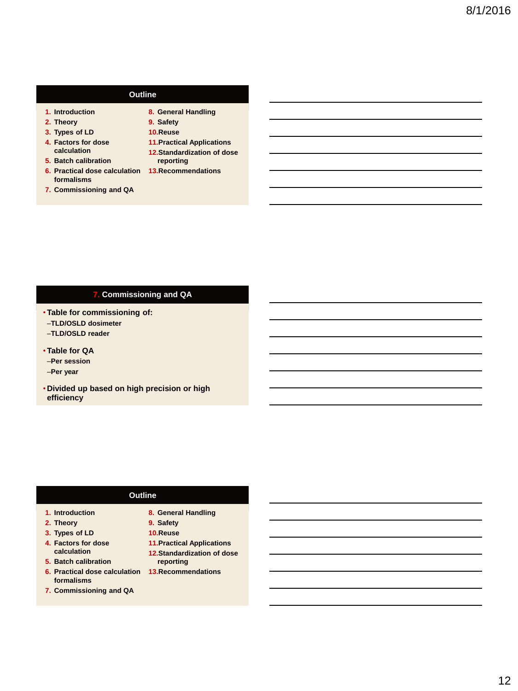## **Outline**

- **1. Introduction**
- **2. Theory**
- **3. Types of LD**
- **4. Factors for dose calculation 5. Batch calibration**
- **6. Practical dose calculation 13.Recommendations formalisms**
- **7. Commissioning and QA**
- 
- **8. General Handling 9. Safety**
- **10.Reuse**
- **11.Practical Applications**
- **12.Standardization of dose reporting**
- 

## **7. Commissioning and QA**

- **Table for commissioning of:**
- –**TLD/OSLD dosimeter**
- –**TLD/OSLD reader**
- **Table for QA**
- –**Per session**
- –**Per year**
- **Divided up based on high precision or high efficiency**

#### **Outline**

- **1. Introduction**
- **2. Theory**
- **3. Types of LD 4. Factors for dose calculation**
- **5. Batch calibration**
- **6. Practical dose calculation 13.Recommendationsformalisms**
- **7. Commissioning and QA**
- **8. General Handling**
- **9. Safety**
- **10.Reuse**
- **11.Practical Applications**
- **12.Standardization of dose reporting**
-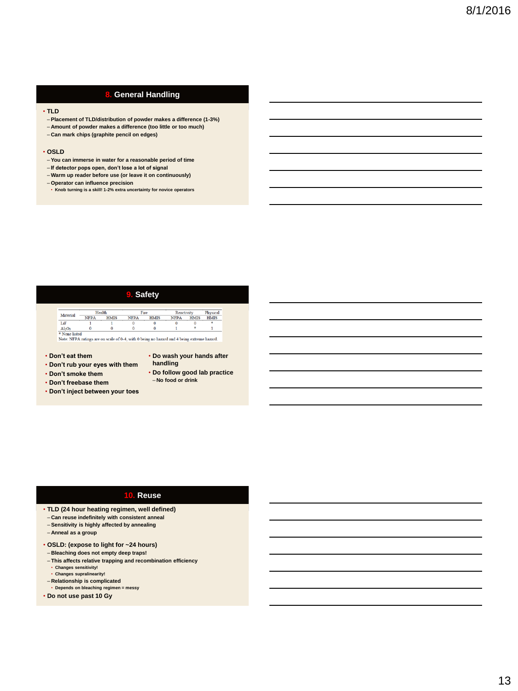## **8. General Handling**

#### • **TLD**

- **Placement of TLD/distribution of powder makes a difference (1-3%)**
- **Amount of powder makes a difference (too little or too much)**
- **Can mark chips (graphite pencil on edges)**

#### • **OSLD**

- **You can immerse in water for a reasonable period of time**
- **If detector pops open, don't lose a lot of signal** – **Warm up reader before use (or leave it on continuously)**
- 
- **Operator can influence precision**

#### • **Knob turning is a skill! 1-2% extra uncertainty for novice operators**

# **9. Safety**

#### Healt Fire Material -Reactivity<br>NFPA HMIS Physical<br>HMIS NFPA .<br>HMIS  $\overline{\text{NFPA}}$ **HMIS** LiF  $\overline{\mathbf{0}}$  $\overline{\mathbf{0}}$ Al<sub>2</sub>O<sub>3</sub> 0 0 0 0 1  $*$  1<br>
\*None listed<br>
Note: NFPA ratings are on scale of 0-4, with 0 being no hazard and 4 being extreme hazard.

#### • **Don't eat them**

- **Don't rub your eyes with them**
- **Don't smoke them**
- **Don't freebase them**
- **Don't inject between your toes**
- **Do wash your hands after handling**
- **Do follow good lab practice** – **No food or drink**

#### **10. Reuse**

- **TLD (24 hour heating regimen, well defined)**
- **Can reuse indefinitely with consistent anneal**
- **Sensitivity is highly affected by annealing**
- **Anneal as a group**
- **OSLD: (expose to light for ~24 hours)**
- **Bleaching does not empty deep traps!**
- **This affects relative trapping and recombination efficiency** • **Changes sensitivity!** • **Changes supralinearity!**
- 
- **Relationship is complicated Depends on bleaching regimen = messy**
- **Do not use past 10 Gy**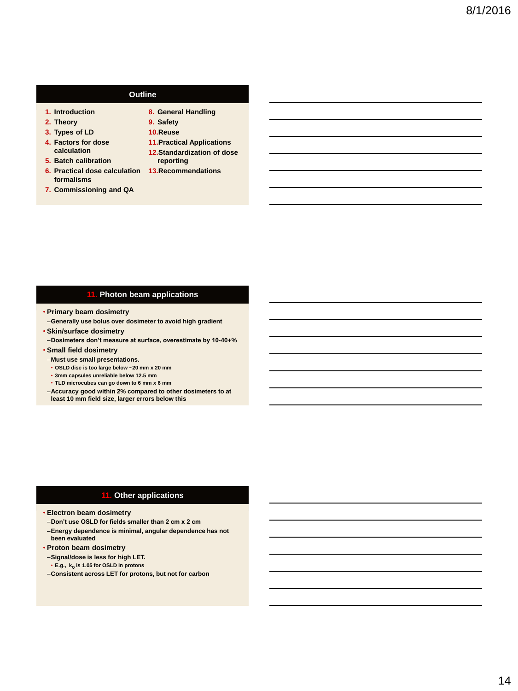## **Outline**

- **1. Introduction**
- **2. Theory**
- **3. Types of LD**
- **4. Factors for dose calculation 5. Batch calibration**
- **6. Practical dose calculation 13.Recommendations formalisms**
- **7. Commissioning and QA**

- **8. General Handling 9. Safety**
- **10.Reuse**
- **11.Practical Applications**
- **12.Standardization of dose reporting**
- 

## **11. Photon beam applications**

- **Primary beam dosimetry**
- –**Generally use bolus over dosimeter to avoid high gradient**
- **Skin/surface dosimetry**
- –**Dosimeters don't measure at surface, overestimate by 10-40+%** • **Small field dosimetry**
- 
- –**Must use small presentations.**
- **OSLD disc is too large below ~20 mm x 20 mm** • **3mm capsules unreliable below 12.5 mm**
- **TLD microcubes can go down to 6 mm x 6 mm**
- –**Accuracy good within 2% compared to other dosimeters to at least 10 mm field size, larger errors below this**

#### **11. Other applications**

- **Electron beam dosimetry**
- –**Don't use OSLD for fields smaller than 2 cm x 2 cm**
- –**Energy dependence is minimal, angular dependence has not been evaluated**
- **Proton beam dosimetry**
- –**Signal/dose is less for high LET.**
- **E.g., k<sup>Q</sup> is 1.05 for OSLD in protons**
- –**Consistent across LET for protons, but not for carbon**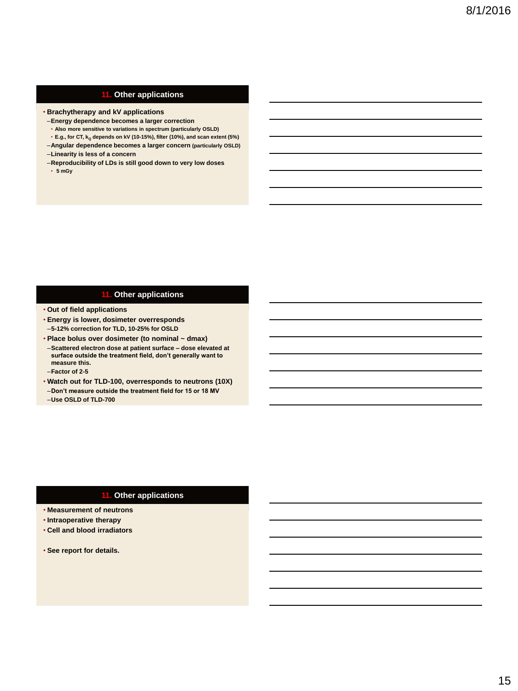#### **11. Other applications**

- **Brachytherapy and kV applications**
- –**Energy dependence becomes a larger correction**
- **Also more sensitive to variations in spectrum (particularly OSLD)**
- **E.g., for CT, k<sup>Q</sup> depends on kV (10-15%), filter (10%), and scan extent (5%)**
- –**Angular dependence becomes a larger concern (particularly OSLD)**
- –**Linearity is less of a concern**
- –**Reproducibility of LDs is still good down to very low doses** • **5 mGy**

#### **11. Other applications**

- **Out of field applications**
- **Energy is lower, dosimeter overresponds** –**5-12% correction for TLD, 10-25% for OSLD**
- **Place bolus over dosimeter (to nominal ~ dmax)**
- –**Scattered electron dose at patient surface – dose elevated at surface outside the treatment field, don't generally want to measure this.**
- –**Factor of 2-5**
- **Watch out for TLD-100, overresponds to neutrons (10X)**
- –**Don't measure outside the treatment field for 15 or 18 MV**
- –**Use OSLD of TLD-700**

#### **11. Other applications**

- **Measurement of neutrons**
- **Intraoperative therapy**
- **Cell and blood irradiators**
- **See report for details.**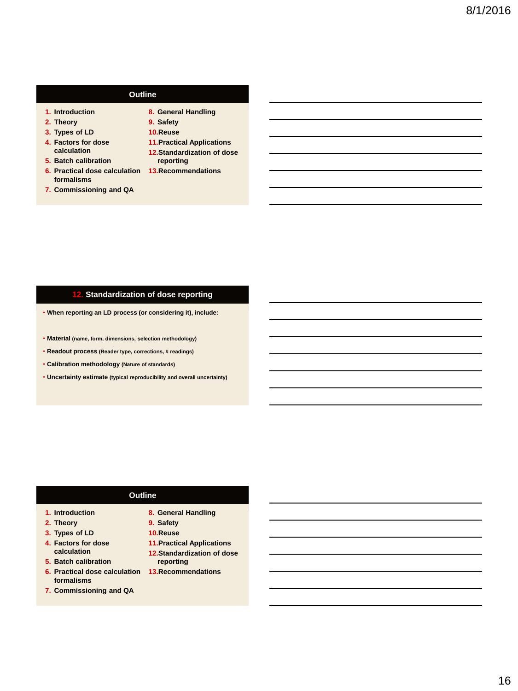## **Outline**

- **1. Introduction**
- **2. Theory**
- **3. Types of LD**
- **4. Factors for dose calculation**
- **5. Batch calibration 6. Practical dose calculation 13.Recommendations formalisms**
- **7. Commissioning and QA**
- 
- **8. General Handling 9. Safety**
- **10.Reuse**
- **11.Practical Applications**
- **12.Standardization of dose reporting**
- 

## **12. Standardization of dose reporting**

- **When reporting an LD process (or considering it), include:**
- **Material (name, form, dimensions, selection methodology)**
- **Readout process (Reader type, corrections, # readings)**
- **Calibration methodology (Nature of standards)**
- **Uncertainty estimate (typical reproducibility and overall uncertainty)**

#### **Outline**

- **1. Introduction**
- **2. Theory**
- **3. Types of LD 4. Factors for dose calculation**
- **5. Batch calibration**
- **6. Practical dose calculation 13.Recommendationsformalisms**
- **7. Commissioning and QA**
- **8. General Handling**
- **9. Safety**
- **10.Reuse**
- **11.Practical Applications**
- **12.Standardization of dose reporting**
-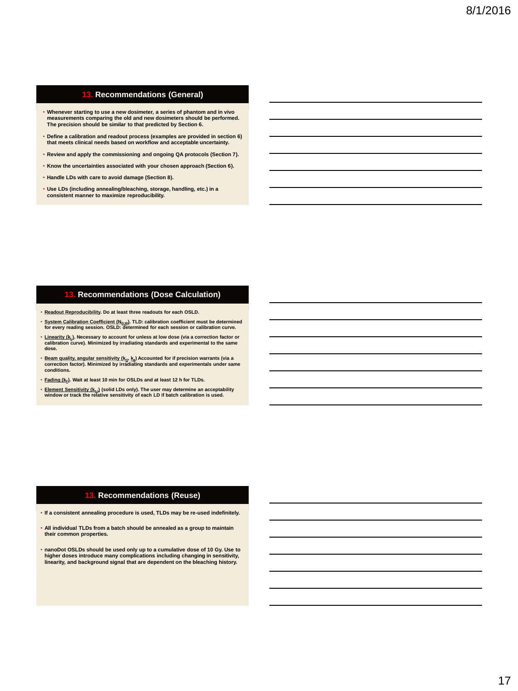### **13. Recommendations (General)**

- **Whenever starting to use a new dosimeter, a series of phantom and in vivo measurements comparing the old and new dosimeters should be performed. The precision should be similar to that predicted by Section 6.**
- **Define a calibration and readout process (examples are provided in section 6) that meets clinical needs based on workflow and acceptable uncertainty.**
- **Review and apply the commissioning and ongoing QA protocols (Section 7).**
- **Know the uncertainties associated with your chosen approach (Section 6).**
- **Handle LDs with care to avoid damage (Section 8).**
- **Use LDs (including annealing/bleaching, storage, handling, etc.) in a consistent manner to maximize reproducibility.**

#### **13. Recommendations (Dose Calculation)**

- **Readout Reproducibility. Do at least three readouts for each OSLD.**
- **System Calibration Coefficient (ND,W). TLD: calibration coefficient must be determined for every reading session. OSLD: determined for each session or calibration curve.**
- **Linearity (k<sup>L</sup> ). Necessary to account for unless at low dose (via a correction factor or calibration curve). Minimized by irradiating standards and experimental to the same dose.**
- **Beam quality, angular sensitivity (kQ, k ) Accounted for if precision warrants (via a correction factor). Minimized by irradiating standards and experimentals under same conditions.**
- **Fading (k<sub>F</sub>). Wait at least 10 min for OSLDs and at least 12 h for TLDs.**
- **Element Sensitivity (ks,i) (solid LDs only). The user may determine an acceptability window or track the relative sensitivity of each LD if batch calibration is used.**

#### **13. Recommendations (Reuse)**

- **If a consistent annealing procedure is used, TLDs may be re-used indefinitely.**
- **All individual TLDs from a batch should be annealed as a group to maintain their common properties.**
- **nanoDot OSLDs should be used only up to a cumulative dose of 10 Gy. Use to higher doses introduce many complications including changing in sensitivity, linearity, and background signal that are dependent on the bleaching history.**